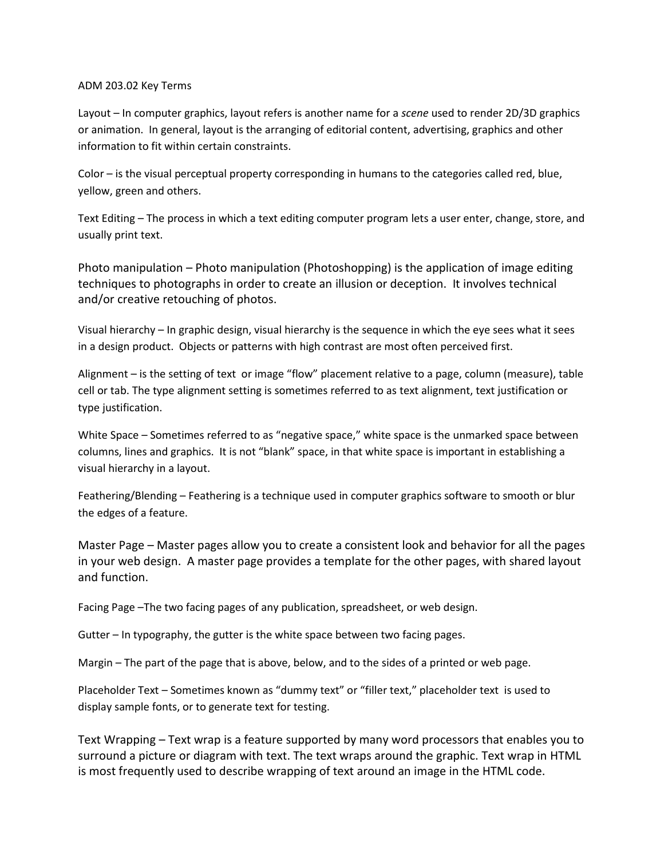## ADM 203.02 Key Terms

Layout – In computer graphics, layout refers is another name for a *scene* used to render 2D/3D graphics or animation. In general, layout is the arranging of editorial content, advertising, graphics and other information to fit within certain constraints.

Color – is the visual perceptual property corresponding in humans to the categories called red, blue, yellow, green and others.

Text Editing – The process in which a text editing computer program lets a user enter, change, store, and usually print text.

Photo manipulation – Photo manipulation (Photoshopping) is the application of [image editing](http://en.wikipedia.org/wiki/Image_editing) techniques to photographs in order to create an [illusion](http://en.wikipedia.org/wiki/Illusion) or [deception.](http://en.wikipedia.org/wiki/Deception) It involves technical and/or creative retouching of photos.

Visual hierarchy – In graphic design, visual hierarchy is the sequence in which the eye sees what it sees in a design product. Objects or patterns with high contrast are most often perceived first.

Alignment – is the setting of [text](http://en.wikipedia.org/wiki/Typography) or image "flow" placement relative to [a page,](http://en.wikipedia.org/wiki/Page_%28paper%29) [column](http://en.wikipedia.org/wiki/Column) (measure), [table](http://en.wikipedia.org/wiki/Table_cell)  [cell](http://en.wikipedia.org/wiki/Table_cell) or [tab.](http://en.wikipedia.org/wiki/Tabulation) The type alignment setting is sometimes referred to as text alignment, text justification or type justification.

White Space – Sometimes referred to as "negative space," white space is the unmarked space between columns, lines and graphics. It is not "blank" space, in that white space is important in establishing a visual hierarchy in a layout.

Feathering/Blending – Feathering is a technique used i[n computer graphics](http://en.wikipedia.org/wiki/Computer_graphics) [software](http://en.wikipedia.org/wiki/Software) to smooth or blur the edges of a feature.

Master Page – Master pages allow you to create a consistent look and behavior for all the pages in your web design. A master page provides a template for the other pages, with shared layout and function.

Facing Page –The two facing pages of any publication, spreadsheet, or web design.

Gutter – In typography, the gutter is the white space between two facing pages.

Margin – The part of the page that is above, below, and to the sides of a printed or web page.

Placeholder Text – Sometimes known as "dummy text" or "filler text," placeholder text is used to display sample fonts, or to generate text for testing.

Text Wrapping – Text wrap is a [feature](http://www.webopedia.com/TERM/F/feature.html) [supported](http://www.webopedia.com/TERM/S/support.html) by many [word processors](http://www.webopedia.com/TERM/W/word_processor.html) that enables you to surround a picture or diagram with [text.](http://www.webopedia.com/TERM/T/text.html) The text wraps around the graphic. Text wrap in [HTML](http://www.webopedia.com/TERM/H/HTML.html) is most frequently used to describe wrapping of text around an image in the HTML code.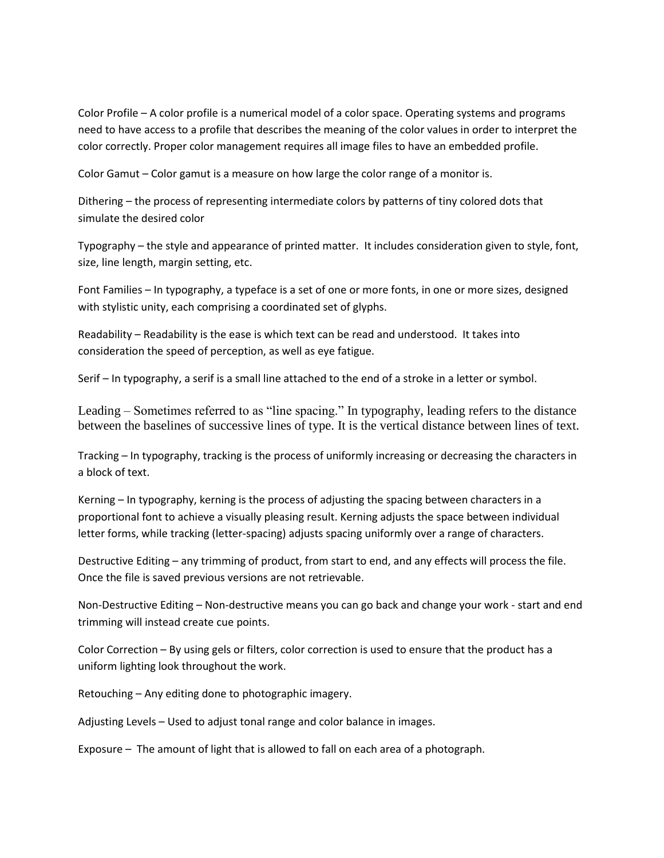Color Profile – A color profile is a numerical model of a color space. Operating systems and programs need to have access to a profile that describes the meaning of the color values in order to interpret the color correctly. Proper color management requires all image files to have an embedded profile.

Color Gamut – Color gamut is a measure on how large the color range of a monitor is.

Dithering – the process of representing intermediate colors by patterns of tiny colored dots that simulate the desired color

Typography – the style and appearance of printed matter. It includes consideration given to style, font, size, line length, margin setting, etc.

Font Families – In typography, a typeface is a set of one or more fonts, in one or more sizes, designed with stylistic unity, each comprising a coordinated set of glyphs.

Readability – Readability is the ease is which text can be read and understood. It takes into consideration the speed of perception, as well as eye fatigue.

Serif – In typography, a serif is a small line attached to the end of a stroke in a letter or symbol.

Leading – Sometimes referred to as "line spacing." In [typography,](http://en.wikipedia.org/wiki/Typography) leading refers to the distance between the [baselines](http://en.wikipedia.org/wiki/Baseline_%28typography%29) of successive lines of type. It is the vertical distance between lines of text.

Tracking – In typography, tracking is the process of uniformly increasing or decreasing the characters in a block of text.

Kerning – In [typography,](http://en.wikipedia.org/wiki/Typography) kerning is the process of adjusting the spacing between characters in a [proportional font](http://en.wikipedia.org/wiki/Typeface#Proportion) to achieve a visually pleasing result. Kerning adjusts the space between individual letter forms, while [tracking](http://en.wikipedia.org/wiki/Letter-spacing) (letter-spacing) adjusts spacing uniformly over a range of characters.

Destructive Editing – any trimming of product, from start to end, and any effects will process the file. Once the file is saved previous versions are not retrievable.

Non-Destructive Editing – Non-destructive means you can go back and change your work - start and end trimming will instead create cue points.

Color Correction – By using gels or filters, color correction is used to ensure that the product has a uniform lighting look throughout the work.

Retouching – Any editing done to photographic imagery.

Adjusting Levels – Used to adjust tonal range and color balance in images.

Exposure – The amount of light that is allowed to fall on each area of a photograph.